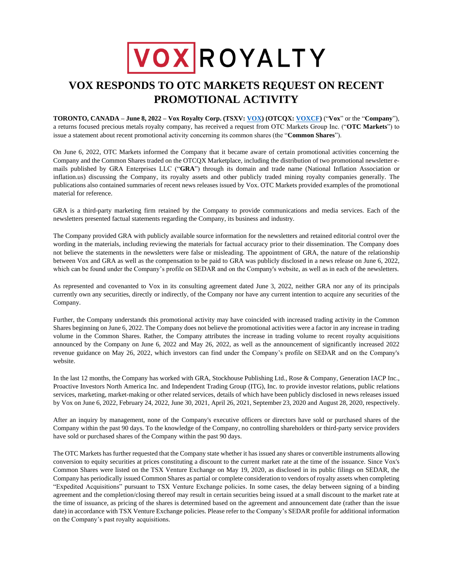## VOXROYALTY

## **VOX RESPONDS TO OTC MARKETS REQUEST ON RECENT PROMOTIONAL ACTIVITY**

**TORONTO, CANADA – June 8, 2022 – Vox Royalty Corp. (TSXV: [VOX\)](https://money.tmx.com/en/quote/VOX) (OTCQX[: VOXC](https://money.tmx.com/en/quote/VOX)F)** ("**Vox**" or the "**Company**"), a returns focused precious metals royalty company, has received a request from OTC Markets Group Inc. ("**OTC Markets**") to issue a statement about recent promotional activity concerning its common shares (the "**Common Shares**").

On June 6, 2022, OTC Markets informed the Company that it became aware of certain promotional activities concerning the Company and the Common Shares traded on the OTCQX Marketplace, including the distribution of two promotional newsletter emails published by GRA Enterprises LLC ("**GRA**") through its domain and trade name (National Inflation Association or inflation.us) discussing the Company, its royalty assets and other publicly traded mining royalty companies generally. The publications also contained summaries of recent news releases issued by Vox. OTC Markets provided examples of the promotional material for reference.

GRA is a third-party marketing firm retained by the Company to provide communications and media services. Each of the newsletters presented factual statements regarding the Company, its business and industry.

The Company provided GRA with publicly available source information for the newsletters and retained editorial control over the wording in the materials, including reviewing the materials for factual accuracy prior to their dissemination. The Company does not believe the statements in the newsletters were false or misleading. The appointment of GRA, the nature of the relationship between Vox and GRA as well as the compensation to be paid to GRA was publicly disclosed in a news release on June 6, 2022, which can be found under the Company's profile on SEDAR and on the Company's website, as well as in each of the newsletters.

As represented and covenanted to Vox in its consulting agreement dated June 3, 2022, neither GRA nor any of its principals currently own any securities, directly or indirectly, of the Company nor have any current intention to acquire any securities of the Company.

Further, the Company understands this promotional activity may have coincided with increased trading activity in the Common Shares beginning on June 6, 2022. The Company does not believe the promotional activities were a factor in any increase in trading volume in the Common Shares. Rather, the Company attributes the increase in trading volume to recent royalty acquisitions announced by the Company on June 6, 2022 and May 26, 2022, as well as the announcement of significantly increased 2022 revenue guidance on May 26, 2022, which investors can find under the Company's profile on SEDAR and on the Company's website.

In the last 12 months, the Company has worked with GRA, Stockhouse Publishing Ltd., Rose & Company, Generation IACP Inc., Proactive Investors North America Inc. and Independent Trading Group (ITG), Inc. to provide investor relations, public relations services, marketing, market-making or other related services, details of which have been publicly disclosed in news releases issued by Vox on June 6, 2022, February 24, 2022, June 30, 2021, April 26, 2021, September 23, 2020 and August 28, 2020, respectively.

After an inquiry by management, none of the Company's executive officers or directors have sold or purchased shares of the Company within the past 90 days. To the knowledge of the Company, no controlling shareholders or third-party service providers have sold or purchased shares of the Company within the past 90 days.

The OTC Markets has further requested that the Company state whether it has issued any shares or convertible instruments allowing conversion to equity securities at prices constituting a discount to the current market rate at the time of the issuance. Since Vox's Common Shares were listed on the TSX Venture Exchange on May 19, 2020, as disclosed in its public filings on SEDAR, the Company has periodically issued Common Shares as partial or complete consideration to vendors of royalty assets when completing "Expedited Acquisitions" pursuant to TSX Venture Exchange policies. In some cases, the delay between signing of a binding agreement and the completion/closing thereof may result in certain securities being issued at a small discount to the market rate at the time of issuance, as pricing of the shares is determined based on the agreement and announcement date (rather than the issue date) in accordance with TSX Venture Exchange policies. Please refer to the Company's SEDAR profile for additional information on the Company's past royalty acquisitions.